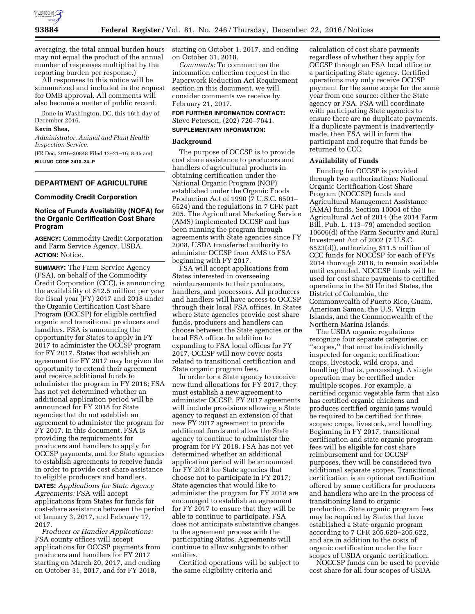

averaging, the total annual burden hours may not equal the product of the annual number of responses multiplied by the reporting burden per response.)

All responses to this notice will be summarized and included in the request for OMB approval. All comments will also become a matter of public record.

Done in Washington, DC, this 16th day of December 2016.

## **Kevin Shea,**

*Administrator, Animal and Plant Health Inspection Service.* 

[FR Doc. 2016–30848 Filed 12–21–16; 8:45 am] **BILLING CODE 3410–34–P** 

# **DEPARTMENT OF AGRICULTURE**

## **Commodity Credit Corporation**

# **Notice of Funds Availability (NOFA) for the Organic Certification Cost Share Program**

**AGENCY:** Commodity Credit Corporation and Farm Service Agency, USDA. **ACTION:** Notice.

**SUMMARY:** The Farm Service Agency (FSA), on behalf of the Commodity Credit Corporation (CCC), is announcing the availability of \$12.5 million per year for fiscal year (FY) 2017 and 2018 under the Organic Certification Cost Share Program (OCCSP) for eligible certified organic and transitional producers and handlers. FSA is announcing the opportunity for States to apply in FY 2017 to administer the OCCSP program for FY 2017. States that establish an agreement for FY 2017 may be given the opportunity to extend their agreement and receive additional funds to administer the program in FY 2018; FSA has not yet determined whether an additional application period will be announced for FY 2018 for State agencies that do not establish an agreement to administer the program for FY 2017. In this document, FSA is providing the requirements for producers and handlers to apply for OCCSP payments, and for State agencies to establish agreements to receive funds in order to provide cost share assistance to eligible producers and handlers.

**DATES:** *Applications for State Agency Agreements:* FSA will accept applications from States for funds for cost-share assistance between the period of January 3, 2017, and February 17, 2017.

*Producer or Handler Applications:*  FSA county offices will accept applications for OCCSP payments from producers and handlers for FY 2017 starting on March 20, 2017, and ending on October 31, 2017, and for FY 2018,

starting on October 1, 2017, and ending on October 31, 2018.

*Comments:* To comment on the information collection request in the Paperwork Reduction Act Requirement section in this document, we will consider comments we receive by February 21, 2017.

**FOR FURTHER INFORMATION CONTACT:**  Steve Peterson, (202) 720–7641.

## **SUPPLEMENTARY INFORMATION:**

## **Background**

The purpose of OCCSP is to provide cost share assistance to producers and handlers of agricultural products in obtaining certification under the National Organic Program (NOP) established under the Organic Foods Production Act of 1990 (7 U.S.C. 6501– 6524) and the regulations in 7 CFR part 205. The Agricultural Marketing Service (AMS) implemented OCCSP and has been running the program through agreements with State agencies since FY 2008. USDA transferred authority to administer OCCSP from AMS to FSA beginning with FY 2017.

FSA will accept applications from States interested in overseeing reimbursements to their producers, handlers, and processors. All producers and handlers will have access to OCCSP through their local FSA offices. In States where State agencies provide cost share funds, producers and handlers can choose between the State agencies or the local FSA office. In addition to expanding to FSA local offices for FY 2017, OCCSP will now cover costs related to transitional certification and State organic program fees.

In order for a State agency to receive new fund allocations for FY 2017, they must establish a new agreement to administer OCCSP. FY 2017 agreements will include provisions allowing a State agency to request an extension of that new FY 2017 agreement to provide additional funds and allow the State agency to continue to administer the program for FY 2018. FSA has not yet determined whether an additional application period will be announced for FY 2018 for State agencies that choose not to participate in FY 2017; State agencies that would like to administer the program for FY 2018 are encouraged to establish an agreement for FY 2017 to ensure that they will be able to continue to participate. FSA does not anticipate substantive changes to the agreement process with the participating States. Agreements will continue to allow subgrants to other entities.

Certified operations will be subject to the same eligibility criteria and

calculation of cost share payments regardless of whether they apply for OCCSP through an FSA local office or a participating State agency. Certified operations may only receive OCCSP payment for the same scope for the same year from one source: either the State agency or FSA. FSA will coordinate with participating State agencies to ensure there are no duplicate payments. If a duplicate payment is inadvertently made, then FSA will inform the participant and require that funds be returned to CCC.

## **Availability of Funds**

Funding for OCCSP is provided through two authorizations: National Organic Certification Cost Share Program (NOCCSP) funds and Agricultural Management Assistance (AMA) funds. Section 10004 of the Agricultural Act of 2014 (the 2014 Farm Bill, Pub. L. 113–79) amended section 10606(d) of the Farm Security and Rural Investment Act of 2002 (7 U.S.C. 6523(d)), authorizing \$11.5 million of CCC funds for NOCCSP for each of FYs 2014 thorough 2018, to remain available until expended. NOCCSP funds will be used for cost share payments to certified operations in the 50 United States, the District of Columbia, the Commonwealth of Puerto Rico, Guam, American Samoa, the U.S. Virgin Islands, and the Commonwealth of the Northern Marina Islands.

The USDA organic regulations recognize four separate categories, or ''scopes,'' that must be individually inspected for organic certification: crops, livestock, wild crops, and handling (that is, processing). A single operation may be certified under multiple scopes. For example, a certified organic vegetable farm that also has certified organic chickens and produces certified organic jams would be required to be certified for three scopes: crops, livestock, and handling. Beginning in FY 2017, transitional certification and state organic program fees will be eligible for cost share reimbursement and for OCCSP purposes, they will be considered two additional separate scopes. Transitional certification is an optional certification offered by some certifiers for producers and handlers who are in the process of transitioning land to organic production. State organic program fees may be required by States that have established a State organic program according to 7 CFR 205.620–205.622, and are in addition to the costs of organic certification under the four scopes of USDA organic certification.

NOCCSP funds can be used to provide cost share for all four scopes of USDA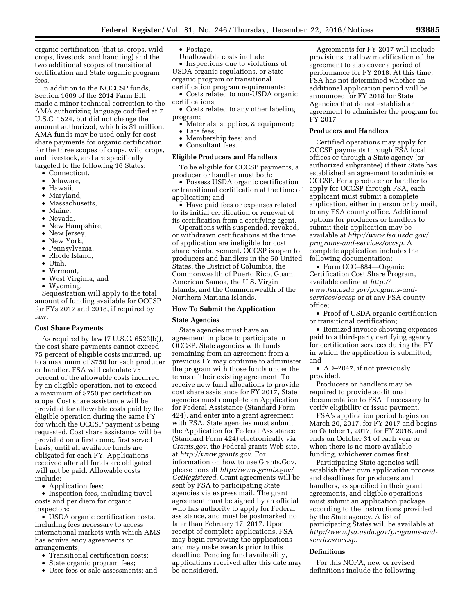organic certification (that is, crops, wild crops, livestock, and handling) and the two additional scopes of transitional certification and State organic program fees.

In addition to the NOCCSP funds, Section 1609 of the 2014 Farm Bill made a minor technical correction to the AMA authorizing language codified at 7 U.S.C. 1524, but did not change the amount authorized, which is \$1 million. AMA funds may be used only for cost share payments for organic certification for the three scopes of crops, wild crops, and livestock, and are specifically targeted to the following 16 States:

- Connecticut,
- Delaware,
- Hawaii,
- Maryland,
- Massachusetts,
- Maine,
- Nevada,
- New Hampshire,
- New Jersey,
- New York,
- Pennsylvania,
- Rhode Island,
- Utah,
- Vermont,
- West Virginia, and
- Wyoming.

Sequestration will apply to the total amount of funding available for OCCSP for FYs 2017 and 2018, if required by law.

#### **Cost Share Payments**

As required by law (7 U.S.C. 6523(b)), the cost share payments cannot exceed 75 percent of eligible costs incurred, up to a maximum of \$750 for each producer or handler. FSA will calculate 75 percent of the allowable costs incurred by an eligible operation, not to exceed a maximum of \$750 per certification scope. Cost share assistance will be provided for allowable costs paid by the eligible operation during the same FY for which the OCCSP payment is being requested. Cost share assistance will be provided on a first come, first served basis, until all available funds are obligated for each FY. Applications received after all funds are obligated will not be paid. Allowable costs include:

• Application fees;

• Inspection fees, including travel costs and per diem for organic inspectors;

• USDA organic certification costs, including fees necessary to access international markets with which AMS has equivalency agreements or arrangements;

- Transitional certification costs;
- State organic program fees;
- User fees or sale assessments; and
- Postage.
- Unallowable costs include:

• Inspections due to violations of USDA organic regulations, or State organic program or transitional certification program requirements;

• Costs related to non-USDA organic certifications;

• Costs related to any other labeling program;

- Materials, supplies, & equipment;
- Late fees
- Membership fees; and • Consultant fees.

# **Eligible Producers and Handlers**

To be eligible for OCCSP payments, a producer or handler must both:

• Possess USDA organic certification or transitional certification at the time of application; and

• Have paid fees or expenses related to its initial certification or renewal of its certification from a certifying agent.

Operations with suspended, revoked, or withdrawn certifications at the time of application are ineligible for cost share reimbursement. OCCSP is open to producers and handlers in the 50 United States, the District of Columbia, the Commonwealth of Puerto Rico, Guam, American Samoa, the U.S. Virgin Islands, and the Commonwealth of the Northern Mariana Islands.

### **How To Submit the Application**

#### **State Agencies**

State agencies must have an agreement in place to participate in OCCSP. State agencies with funds remaining from an agreement from a previous FY may continue to administer the program with those funds under the terms of their existing agreement. To receive new fund allocations to provide cost share assistance for FY 2017, State agencies must complete an Application for Federal Assistance (Standard Form 424), and enter into a grant agreement with FSA. State agencies must submit the Application for Federal Assistance (Standard Form 424) electronically via *Grants.gov*, the Federal grants Web site, at *[http://www.grants.gov.](http://www.grants.gov)* For information on how to use Grants.Gov, please consult *[http://www.grants.gov/](http://www.grants.gov/GetRegistered)  [GetRegistered.](http://www.grants.gov/GetRegistered)* Grant agreements will be sent by FSA to participating State agencies via express mail. The grant agreement must be signed by an official who has authority to apply for Federal assistance, and must be postmarked no later than February 17, 2017. Upon receipt of complete applications, FSA may begin reviewing the applications and may make awards prior to this deadline. Pending fund availability, applications received after this date may be considered.

Agreements for FY 2017 will include provisions to allow modification of the agreement to also cover a period of performance for FY 2018. At this time, FSA has not determined whether an additional application period will be announced for FY 2018 for State Agencies that do not establish an agreement to administer the program for FY 2017.

## **Producers and Handlers**

Certified operations may apply for OCCSP payments through FSA local offices or through a State agency (or authorized subgrantee) if their State has established an agreement to administer OCCSP. For a producer or handler to apply for OCCSP through FSA, each applicant must submit a complete application, either in person or by mail, to any FSA county office. Additional options for producers or handlers to submit their application may be available at *[http://www.fsa.usda.gov/](http://www.fsa.usda.gov/programs-and-services/occsp)  [programs-and-services/occsp.](http://www.fsa.usda.gov/programs-and-services/occsp)* A complete application includes the following documentation:

• Form CCC–884—Organic Certification Cost Share Program, available online at *[http://](http://www.fsa.usda.gov/programs-and-services/occsp) [www.fsa.usda.gov/programs-and](http://www.fsa.usda.gov/programs-and-services/occsp)[services/occsp](http://www.fsa.usda.gov/programs-and-services/occsp)* or at any FSA county office;

• Proof of USDA organic certification or transitional certification;

• Itemized invoice showing expenses paid to a third-party certifying agency for certification services during the FY in which the application is submitted; and

• AD–2047, if not previously provided.

Producers or handlers may be required to provide additional documentation to FSA if necessary to verify eligibility or issue payment.

FSA's application period begins on March 20, 2017, for FY 2017 and begins on October 1, 2017, for FY 2018, and ends on October 31 of each year or when there is no more available funding, whichever comes first.

Participating State agencies will establish their own application process and deadlines for producers and handlers, as specified in their grant agreements, and eligible operations must submit an application package according to the instructions provided by the State agency. A list of participating States will be available at *[http://www.fsa.usda.gov/programs-and](http://www.fsa.usda.gov/programs-and-services/occsp)[services/occsp.](http://www.fsa.usda.gov/programs-and-services/occsp)* 

#### **Definitions**

For this NOFA, new or revised definitions include the following: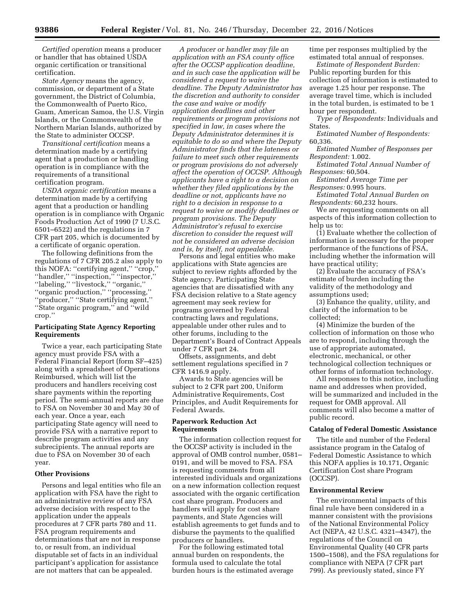*Certified operation* means a producer or handler that has obtained USDA organic certification or transitional certification.

*State Agency* means the agency, commission, or department of a State government, the District of Columbia, the Commonwealth of Puerto Rico, Guam, American Samoa, the U.S. Virgin Islands, or the Commonwealth of the Northern Marian Islands, authorized by the State to administer OCCSP.

*Transitional certification* means a determination made by a certifying agent that a production or handling operation is in compliance with the requirements of a transitional certification program.

*USDA organic certification* means a determination made by a certifying agent that a production or handling operation is in compliance with Organic Foods Production Act of 1990 (7 U.S.C. 6501–6522) and the regulations in 7 CFR part 205, which is documented by a certificate of organic operation.

The following definitions from the regulations of 7 CFR 205.2 also apply to this NOFA: "certifying agent," "crop," ''handler,'' ''inspection,'' ''inspector,'' ''labeling,'' ''livestock,'' ''organic,'' ''organic production,'' ''processing,'' ''producer,'' ''State certifying agent,'' ''State organic program,'' and ''wild crop.''

# **Participating State Agency Reporting Requirements**

Twice a year, each participating State agency must provide FSA with a Federal Financial Report (form SF–425) along with a spreadsheet of Operations Reimbursed, which will list the producers and handlers receiving cost share payments within the reporting period. The semi-annual reports are due to FSA on November 30 and May 30 of each year. Once a year, each participating State agency will need to provide FSA with a narrative report to describe program activities and any subrecipients. The annual reports are due to FSA on November 30 of each year.

# **Other Provisions**

Persons and legal entities who file an application with FSA have the right to an administrative review of any FSA adverse decision with respect to the application under the appeals procedures at 7 CFR parts 780 and 11. FSA program requirements and determinations that are not in response to, or result from, an individual disputable set of facts in an individual participant's application for assistance are not matters that can be appealed.

*A producer or handler may file an application with an FSA county office after the OCCSP application deadline, and in such case the application will be considered a request to waive the deadline. The Deputy Administrator has the discretion and authority to consider the case and waive or modify application deadlines and other requirements or program provisions not specified in law, in cases where the Deputy Administrator determines it is equitable to do so and where the Deputy Administrator finds that the lateness or failure to meet such other requirements or program provisions do not adversely affect the operation of OCCSP. Although applicants have a right to a decision on whether they filed applications by the deadline or not, applicants have no right to a decision in response to a request to waive or modify deadlines or program provisions. The Deputy Administrator's refusal to exercise discretion to consider the request will not be considered an adverse decision and is, by itself, not appealable.* 

Persons and legal entities who make applications with State agencies are subject to review rights afforded by the State agency. Participating State agencies that are dissatisfied with any FSA decision relative to a State agency agreement may seek review for programs governed by Federal contracting laws and regulations, appealable under other rules and to other forums, including to the Department's Board of Contract Appeals under 7 CFR part 24.

Offsets, assignments, and debt settlement regulations specified in 7 CFR 1416.9 apply.

Awards to State agencies will be subject to 2 CFR part 200, Uniform Administrative Requirements, Cost Principles, and Audit Requirements for Federal Awards.

# **Paperwork Reduction Act Requirements**

The information collection request for the OCCSP activity is included in the approval of OMB control number, 0581– 0191, and will be moved to FSA. FSA is requesting comments from all interested individuals and organizations on a new information collection request associated with the organic certification cost share program. Producers and handlers will apply for cost share payments, and State Agencies will establish agreements to get funds and to disburse the payments to the qualified producers or handlers.

For the following estimated total annual burden on respondents, the formula used to calculate the total burden hours is the estimated average time per responses multiplied by the estimated total annual of responses.

*Estimate of Respondent Burden:*  Public reporting burden for this collection of information is estimated to average 1.25 hour per response. The average travel time, which is included in the total burden, is estimated to be 1 hour per respondent.

*Type of Respondents:* Individuals and States.

*Estimated Number of Respondents:*  60,336.

*Estimated Number of Responses per Respondent:* 1.002.

*Estimated Total Annual Number of Responses:* 60,504.

*Estimated Average Time per Responses:* 0.995 hours.

*Estimated Total Annual Burden on Respondents:* 60,232 hours.

We are requesting comments on all aspects of this information collection to help us to:

(1) Evaluate whether the collection of information is necessary for the proper performance of the functions of FSA, including whether the information will have practical utility;

(2) Evaluate the accuracy of FSA's estimate of burden including the validity of the methodology and assumptions used;

(3) Enhance the quality, utility, and clarity of the information to be collected;

(4) Minimize the burden of the collection of information on those who are to respond, including through the use of appropriate automated, electronic, mechanical, or other technological collection techniques or other forms of information technology.

All responses to this notice, including name and addresses when provided, will be summarized and included in the request for OMB approval. All comments will also become a matter of public record.

# **Catalog of Federal Domestic Assistance**

The title and number of the Federal assistance program in the Catalog of Federal Domestic Assistance to which this NOFA applies is 10.171, Organic Certification Cost share Program (OCCSP).

### **Environmental Review**

The environmental impacts of this final rule have been considered in a manner consistent with the provisions of the National Environmental Policy Act (NEPA, 42 U.S.C. 4321–4347), the regulations of the Council on Environmental Quality (40 CFR parts 1500–1508), and the FSA regulations for compliance with NEPA (7 CFR part 799). As previously stated, since FY